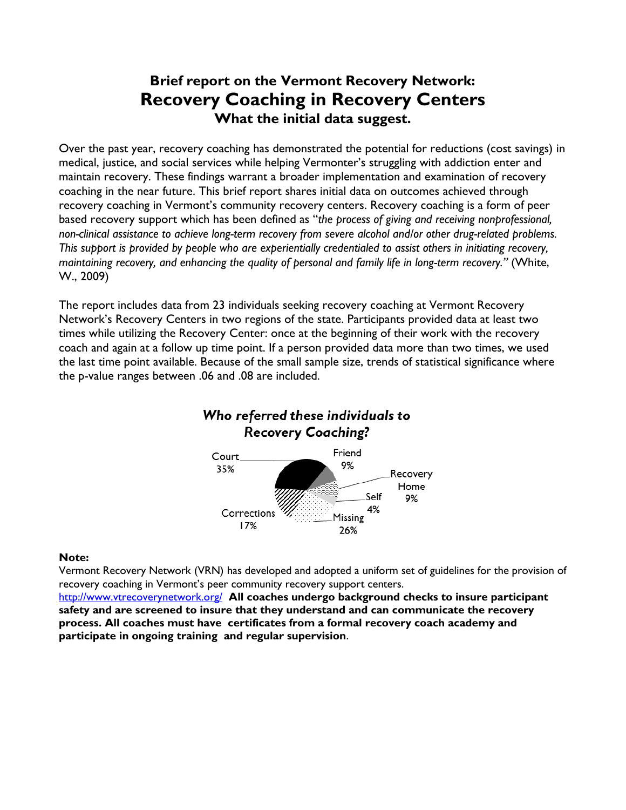# **Brief report on the Vermont Recovery Network: Recovery Coaching in Recovery Centers What the initial data suggest.**

Over the past year, recovery coaching has demonstrated the potential for reductions (cost savings) in medical, justice, and social services while helping Vermonter's struggling with addiction enter and maintain recovery. These findings warrant a broader implementation and examination of recovery coaching in the near future. This brief report shares initial data on outcomes achieved through recovery coaching in Vermont's community recovery centers. Recovery coaching is a form of peer based recovery support which has been defined as "*the process of giving and receiving nonprofessional, non-clinical assistance to achieve long-term recovery from severe alcohol and/or other drug-related problems. This support is provided by people who are experientially credentialed to assist others in initiating recovery, maintaining recovery, and enhancing the quality of personal and family life in long-term recovery."* (White, W., 2009)

The report includes data from 23 individuals seeking recovery coaching at Vermont Recovery Network's Recovery Centers in two regions of the state. Participants provided data at least two times while utilizing the Recovery Center: once at the beginning of their work with the recovery coach and again at a follow up time point. If a person provided data more than two times, we used the last time point available. Because of the small sample size, trends of statistical significance where the p-value ranges between .06 and .08 are included.



#### **Note:**

Vermont Recovery Network (VRN) has developed and adopted a uniform set of guidelines for the provision of recovery coaching in Vermont's peer community recovery support centers.

<http://www.vtrecoverynetwork.org/>**All coaches undergo background checks to insure participant safety and are screened to insure that they understand and can communicate the recovery process. All coaches must have certificates from a formal recovery coach academy and participate in ongoing training and regular supervision**.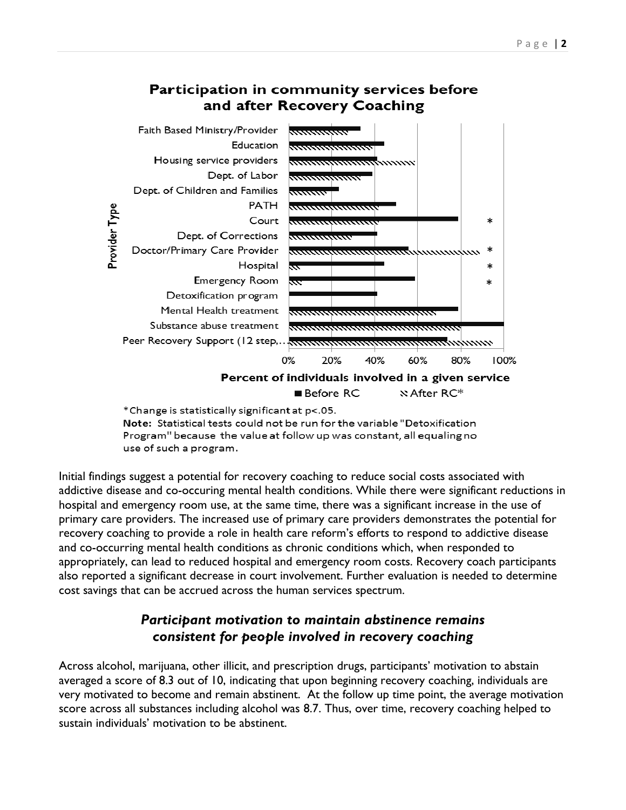

#### Participation in community services before and after Recovery Coaching

\*Change is statistically significant at p<.05. Note: Statistical tests could not be run for the variable "Detoxification Program" because the value at follow up was constant, all equaling no use of such a program.

Initial findings suggest a potential for recovery coaching to reduce social costs associated with addictive disease and co-occuring mental health conditions. While there were significant reductions in hospital and emergency room use, at the same time, there was a significant increase in the use of primary care providers. The increased use of primary care providers demonstrates the potential for recovery coaching to provide a role in health care reform's efforts to respond to addictive disease and co-occurring mental health conditions as chronic conditions which, when responded to appropriately, can lead to reduced hospital and emergency room costs. Recovery coach participants also reported a significant decrease in court involvement. Further evaluation is needed to determine cost savings that can be accrued across the human services spectrum.

## *Participant motivation to maintain abstinence remains consistent for people involved in recovery coaching*

Across alcohol, marijuana, other illicit, and prescription drugs, participants' motivation to abstain averaged a score of 8.3 out of 10, indicating that upon beginning recovery coaching, individuals are very motivated to become and remain abstinent. At the follow up time point, the average motivation score across all substances including alcohol was 8.7. Thus, over time, recovery coaching helped to sustain individuals' motivation to be abstinent.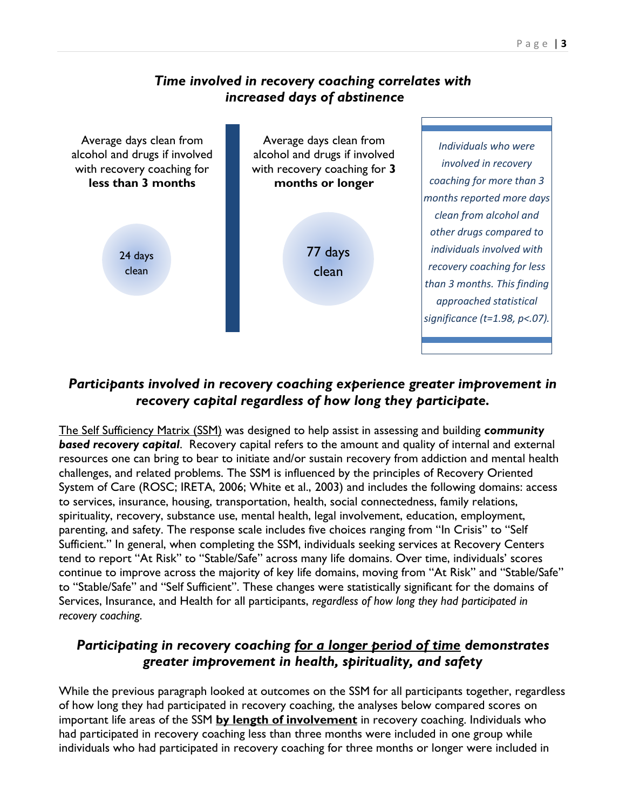### *Time involved in recovery coaching correlates with increased days of abstinence*



## *Participants involved in recovery coaching experience greater improvement in recovery capital regardless of how long they participate.*

The Self Sufficiency Matrix (SSM) was designed to help assist in assessing and building *community based recovery capital*. Recovery capital refers to the amount and quality of internal and external resources one can bring to bear to initiate and/or sustain recovery from addiction and mental health challenges, and related problems. The SSM is influenced by the principles of Recovery Oriented System of Care (ROSC; IRETA, 2006; White et al., 2003) and includes the following domains: access to services, insurance, housing, transportation, health, social connectedness, family relations, spirituality, recovery, substance use, mental health, legal involvement, education, employment, parenting, and safety. The response scale includes five choices ranging from "In Crisis" to "Self Sufficient." In general, when completing the SSM, individuals seeking services at Recovery Centers tend to report "At Risk" to "Stable/Safe" across many life domains. Over time, individuals' scores continue to improve across the majority of key life domains, moving from "At Risk" and "Stable/Safe" to "Stable/Safe" and "Self Sufficient". These changes were statistically significant for the domains of Services, Insurance, and Health for all participants, *regardless of how long they had participated in recovery coaching.*

## *Participating in recovery coaching for a longer period of time demonstrates greater improvement in health, spirituality, and safety*

While the previous paragraph looked at outcomes on the SSM for all participants together, regardless of how long they had participated in recovery coaching, the analyses below compared scores on important life areas of the SSM **by length of involvement** in recovery coaching. Individuals who had participated in recovery coaching less than three months were included in one group while individuals who had participated in recovery coaching for three months or longer were included in